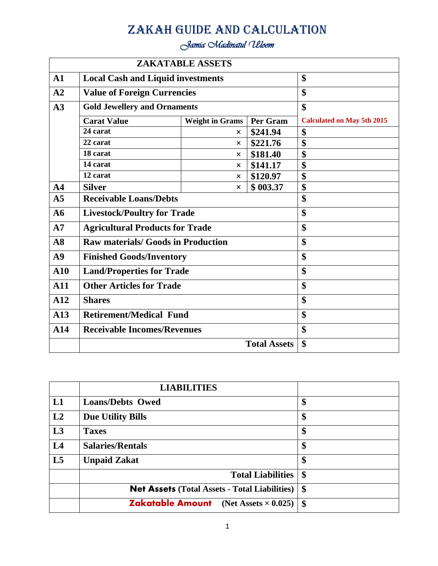# Zakah Guide and Calculation

*Jamia Madinatul Uloom* 

|                |                                           | <b>ZAKATABLE ASSETS</b> |                     |                                   |
|----------------|-------------------------------------------|-------------------------|---------------------|-----------------------------------|
| $\mathbf{A1}$  | <b>Local Cash and Liquid investments</b>  |                         |                     | \$                                |
| A2             | <b>Value of Foreign Currencies</b>        |                         |                     | \$                                |
| A3             | <b>Gold Jewellery and Ornaments</b>       |                         |                     | \$                                |
|                | <b>Carat Value</b>                        | <b>Weight in Grams</b>  | Per Gram            | <b>Calculated on May 5th 2015</b> |
|                | 24 carat                                  | $\times$                | \$241.94            | \$                                |
|                | 22 carat                                  | $\times$                | \$221.76            | \$                                |
|                | 18 carat                                  | $\times$                | \$181.40            | $\overline{\$}$                   |
|                | 14 carat                                  | $\times$                | \$141.17            | \$                                |
|                | 12 carat                                  | $\times$                | \$120.97            | \$                                |
| A <sub>4</sub> | <b>Silver</b>                             | $\times$                | \$003.37            | \$                                |
| A <sub>5</sub> | <b>Receivable Loans/Debts</b>             |                         |                     | \$                                |
| A6             | <b>Livestock/Poultry for Trade</b>        |                         |                     | \$                                |
| A7             | <b>Agricultural Products for Trade</b>    |                         |                     | \$                                |
| A8             | <b>Raw materials/ Goods in Production</b> |                         |                     | \$                                |
| A9             | <b>Finished Goods/Inventory</b>           |                         |                     | \$                                |
| ${\bf A10}$    | <b>Land/Properties for Trade</b>          |                         |                     | \$                                |
| A11            | <b>Other Articles for Trade</b>           |                         |                     | \$                                |
| A12            | <b>Shares</b>                             |                         |                     | \$                                |
| A13            | <b>Retirement/Medical Fund</b>            |                         |                     | \$                                |
| A14            | <b>Receivable Incomes/Revenues</b>        |                         |                     | \$                                |
|                |                                           |                         | <b>Total Assets</b> | \$                                |

|    | <b>LIABILITIES</b>                                   |                   |
|----|------------------------------------------------------|-------------------|
| L1 | <b>Loans/Debts Owed</b>                              | \$                |
| L2 | <b>Due Utility Bills</b>                             | \$                |
| L3 | <b>Taxes</b>                                         | \$                |
| L4 | <b>Salaries/Rentals</b>                              | \$                |
| L5 | <b>Unpaid Zakat</b>                                  | \$                |
|    | <b>Total Liabilities</b>                             | $\boldsymbol{\$}$ |
|    | <b>Net Assets (Total Assets - Total Liabilities)</b> | $\boldsymbol{\$}$ |
|    | <b>Zakatable Amount</b> (Net Assets $\times$ 0.025)  | $\boldsymbol{\$}$ |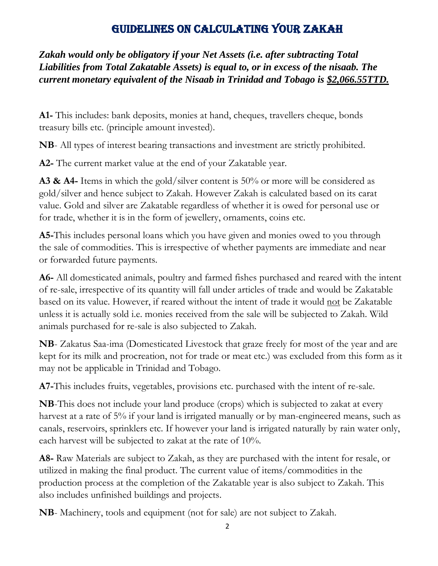## Guidelines on Calculating your Zakah

*Zakah would only be obligatory if your Net Assets (i.e. after subtracting Total Liabilities from Total Zakatable Assets) is equal to, or in excess of the nisaab. The current monetary equivalent of the Nisaab in Trinidad and Tobago is \$2,066.55TTD.*

**A1-** This includes: bank deposits, monies at hand, cheques, travellers cheque, bonds treasury bills etc. (principle amount invested).

**NB**- All types of interest bearing transactions and investment are strictly prohibited.

**A2-** The current market value at the end of your Zakatable year.

**A3 & A4-** Items in which the gold/silver content is 50% or more will be considered as gold/silver and hence subject to Zakah. However Zakah is calculated based on its carat value. Gold and silver are Zakatable regardless of whether it is owed for personal use or for trade, whether it is in the form of jewellery, ornaments, coins etc.

**A5-**This includes personal loans which you have given and monies owed to you through the sale of commodities. This is irrespective of whether payments are immediate and near or forwarded future payments.

**A6-** All domesticated animals, poultry and farmed fishes purchased and reared with the intent of re-sale, irrespective of its quantity will fall under articles of trade and would be Zakatable based on its value. However, if reared without the intent of trade it would <u>not</u> be Zakatable unless it is actually sold i.e. monies received from the sale will be subjected to Zakah. Wild animals purchased for re-sale is also subjected to Zakah.

**NB**- Zakatus Saa-ima (Domesticated Livestock that graze freely for most of the year and are kept for its milk and procreation, not for trade or meat etc.) was excluded from this form as it may not be applicable in Trinidad and Tobago.

**A7-**This includes fruits, vegetables, provisions etc. purchased with the intent of re-sale.

**NB**-This does not include your land produce (crops) which is subjected to zakat at every harvest at a rate of 5% if your land is irrigated manually or by man-engineered means, such as canals, reservoirs, sprinklers etc. If however your land is irrigated naturally by rain water only, each harvest will be subjected to zakat at the rate of 10%.

**A8-** Raw Materials are subject to Zakah, as they are purchased with the intent for resale, or utilized in making the final product. The current value of items/commodities in the production process at the completion of the Zakatable year is also subject to Zakah. This also includes unfinished buildings and projects.

**NB**- Machinery, tools and equipment (not for sale) are not subject to Zakah.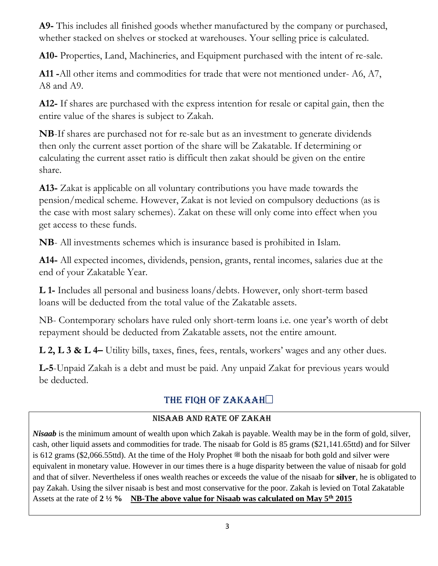**A9-** This includes all finished goods whether manufactured by the company or purchased, whether stacked on shelves or stocked at warehouses. Your selling price is calculated.

**A10-** Properties, Land, Machineries, and Equipment purchased with the intent of re-sale.

**A11 -**All other items and commodities for trade that were not mentioned under- A6, A7, A8 and A9.

**A12-** If shares are purchased with the express intention for resale or capital gain, then the entire value of the shares is subject to Zakah.

**NB**-If shares are purchased not for re-sale but as an investment to generate dividends then only the current asset portion of the share will be Zakatable. If determining or calculating the current asset ratio is difficult then zakat should be given on the entire share.

**A13-** Zakat is applicable on all voluntary contributions you have made towards the pension/medical scheme. However, Zakat is not levied on compulsory deductions (as is the case with most salary schemes). Zakat on these will only come into effect when you get access to these funds.

**NB**- All investments schemes which is insurance based is prohibited in Islam.

**A14-** All expected incomes, dividends, pension, grants, rental incomes, salaries due at the end of your Zakatable Year.

**L 1-** Includes all personal and business loans/debts. However, only short-term based loans will be deducted from the total value of the Zakatable assets.

NB- Contemporary scholars have ruled only short-term loans i.e. one year's worth of debt repayment should be deducted from Zakatable assets, not the entire amount.

**L 2, L 3 & L 4–** Utility bills, taxes, fines, fees, rentals, workers' wages and any other dues.

**L-5**-Unpaid Zakah is a debt and must be paid. Any unpaid Zakat for previous years would be deducted.

## The Fiqh of Zakaah

### Nisaab and Rate of Zakah

*Nisaab* is the minimum amount of wealth upon which Zakah is payable. Wealth may be in the form of gold, silver, cash, other liquid assets and commodities for trade. The nisaab for Gold is 85 grams (\$21,141.65ttd) and for Silver is 612 grams (\$2,066.55ttd). At the time of the Holy Prophet # both the nisaab for both gold and silver were equivalent in monetary value. However in our times there is a huge disparity between the value of nisaab for gold and that of silver. Nevertheless if ones wealth reaches or exceeds the value of the nisaab for **silver**, he is obligated to pay Zakah. Using the silver nisaab is best and most conservative for the poor. Zakah is levied on Total Zakatable Assets at the rate of **2 ½ % NB-The above value for Nisaab was calculated on May 5th 2015**